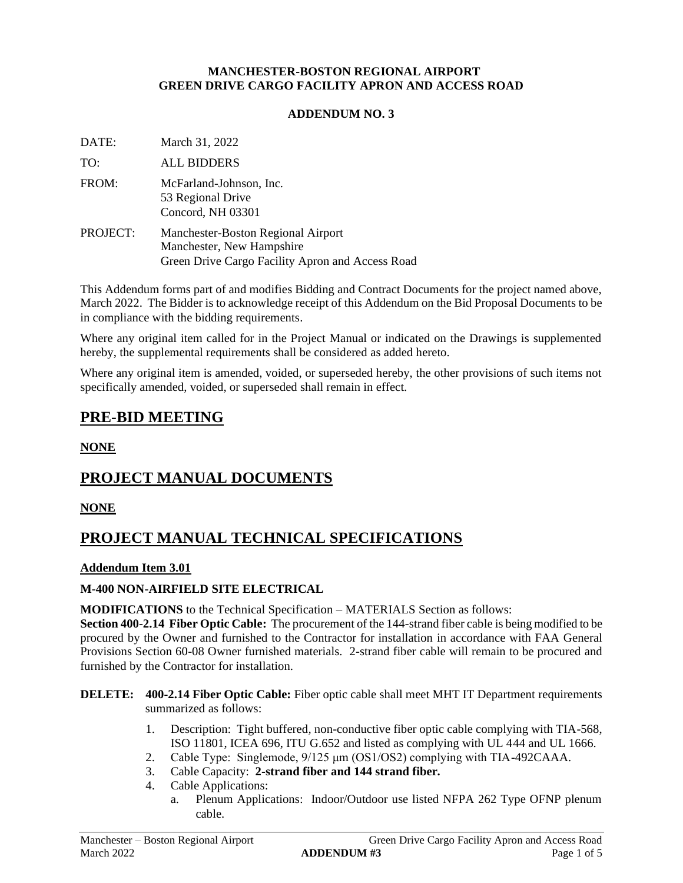#### **MANCHESTER-BOSTON REGIONAL AIRPORT GREEN DRIVE CARGO FACILITY APRON AND ACCESS ROAD**

#### **ADDENDUM NO. 3**

DATE: March 31, 2022

TO: ALL BIDDERS

- FROM: McFarland-Johnson, Inc. 53 Regional Drive Concord, NH 03301
- PROJECT: Manchester-Boston Regional Airport Manchester, New Hampshire Green Drive Cargo Facility Apron and Access Road

This Addendum forms part of and modifies Bidding and Contract Documents for the project named above, March 2022. The Bidder is to acknowledge receipt of this Addendum on the Bid Proposal Documents to be in compliance with the bidding requirements.

Where any original item called for in the Project Manual or indicated on the Drawings is supplemented hereby, the supplemental requirements shall be considered as added hereto.

Where any original item is amended, voided, or superseded hereby, the other provisions of such items not specifically amended, voided, or superseded shall remain in effect.

## **PRE-BID MEETING**

**NONE**

# **PROJECT MANUAL DOCUMENTS**

#### **NONE**

# **PROJECT MANUAL TECHNICAL SPECIFICATIONS**

#### **Addendum Item 3.01**

#### **M-400 NON-AIRFIELD SITE ELECTRICAL**

**MODIFICATIONS** to the Technical Specification – MATERIALS Section as follows:

**Section 400-2.14 Fiber Optic Cable:** The procurement of the 144-strand fiber cable is being modified to be procured by the Owner and furnished to the Contractor for installation in accordance with FAA General Provisions Section 60-08 Owner furnished materials. 2-strand fiber cable will remain to be procured and furnished by the Contractor for installation.

#### **DELETE: 400-2.14 Fiber Optic Cable:** Fiber optic cable shall meet MHT IT Department requirements summarized as follows:

- 1. Description: Tight buffered*,* non-conductive fiber optic cable complying with TIA-568, ISO 11801, ICEA 696, ITU G.652 and listed as complying with UL 444 and UL 1666.
- 2. Cable Type: Singlemode, 9/125 μm (OS1/OS2) complying with TIA-492CAAA.
- 3. Cable Capacity: **2-strand fiber and 144 strand fiber***.*
- 4. Cable Applications:
	- a. Plenum Applications: Indoor/Outdoor use listed NFPA 262 Type OFNP plenum cable.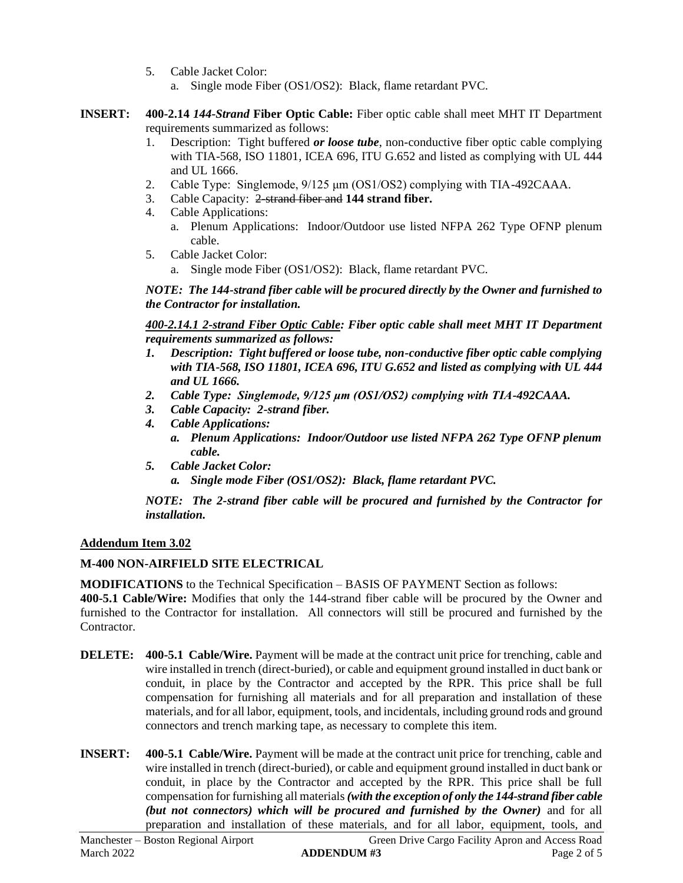- 5. Cable Jacket Color:
	- a. Single mode Fiber (OS1/OS2): Black, flame retardant PVC.
- **INSERT: 400-2.14** *144-Strand* **Fiber Optic Cable:** Fiber optic cable shall meet MHT IT Department requirements summarized as follows:
	- 1. Description: Tight buffered *or loose tube*, non-conductive fiber optic cable complying with TIA-568, ISO 11801, ICEA 696, ITU G.652 and listed as complying with UL 444 and UL 1666.
	- 2. Cable Type: Singlemode, 9/125 μm (OS1/OS2) complying with TIA-492CAAA.
	- 3. Cable Capacity: 2-strand fiber and **144 strand fiber.**
	- 4. Cable Applications:
		- a. Plenum Applications: Indoor/Outdoor use listed NFPA 262 Type OFNP plenum cable.
	- 5. Cable Jacket Color: a. Single mode Fiber (OS1/OS2): Black, flame retardant PVC.

*NOTE: The 144-strand fiber cable will be procured directly by the Owner and furnished to the Contractor for installation.*

*400-2.14.1 2-strand Fiber Optic Cable: Fiber optic cable shall meet MHT IT Department requirements summarized as follows:*

- *1. Description: Tight buffered or loose tube, non-conductive fiber optic cable complying with TIA-568, ISO 11801, ICEA 696, ITU G.652 and listed as complying with UL 444 and UL 1666.*
- *2. Cable Type: Singlemode, 9/125 μm (OS1/OS2) complying with TIA-492CAAA.*
- *3. Cable Capacity: 2-strand fiber.*
- *4. Cable Applications:*
	- *a. Plenum Applications: Indoor/Outdoor use listed NFPA 262 Type OFNP plenum cable.*
- *5. Cable Jacket Color:*
	- *a. Single mode Fiber (OS1/OS2): Black, flame retardant PVC.*

*NOTE: The 2-strand fiber cable will be procured and furnished by the Contractor for installation.*

#### **Addendum Item 3.02**

#### **M-400 NON-AIRFIELD SITE ELECTRICAL**

**MODIFICATIONS** to the Technical Specification – BASIS OF PAYMENT Section as follows:

**400-5.1 Cable/Wire:** Modifies that only the 144-strand fiber cable will be procured by the Owner and furnished to the Contractor for installation. All connectors will still be procured and furnished by the Contractor.

- **DELETE:** 400-5.1 **Cable/Wire.** Payment will be made at the contract unit price for trenching, cable and wire installed in trench (direct-buried), or cable and equipment ground installed in duct bank or conduit, in place by the Contractor and accepted by the RPR. This price shall be full compensation for furnishing all materials and for all preparation and installation of these materials, and for all labor, equipment, tools, and incidentals, including ground rods and ground connectors and trench marking tape, as necessary to complete this item.
- **INSERT: 400-5.1 Cable/Wire.** Payment will be made at the contract unit price for trenching, cable and wire installed in trench (direct-buried), or cable and equipment ground installed in duct bank or conduit, in place by the Contractor and accepted by the RPR. This price shall be full compensation for furnishing all materials *(with the exception of only the 144-strand fiber cable (but not connectors) which will be procured and furnished by the Owner)* and for all preparation and installation of these materials, and for all labor, equipment, tools, and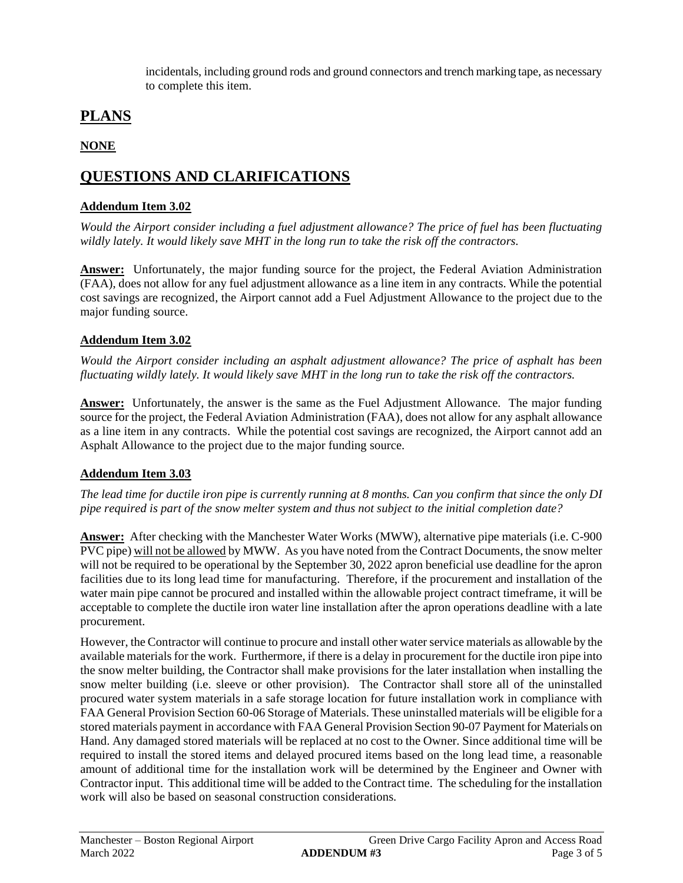incidentals, including ground rods and ground connectors and trench marking tape, as necessary to complete this item.

# **PLANS**

## **NONE**

# **QUESTIONS AND CLARIFICATIONS**

### **Addendum Item 3.02**

*Would the Airport consider including a fuel adjustment allowance? The price of fuel has been fluctuating wildly lately. It would likely save MHT in the long run to take the risk off the contractors.*

**Answer:** Unfortunately, the major funding source for the project, the Federal Aviation Administration (FAA), does not allow for any fuel adjustment allowance as a line item in any contracts. While the potential cost savings are recognized, the Airport cannot add a Fuel Adjustment Allowance to the project due to the major funding source.

## **Addendum Item 3.02**

*Would the Airport consider including an asphalt adjustment allowance? The price of asphalt has been fluctuating wildly lately. It would likely save MHT in the long run to take the risk off the contractors.*

**Answer:** Unfortunately, the answer is the same as the Fuel Adjustment Allowance. The major funding source for the project, the Federal Aviation Administration (FAA), does not allow for any asphalt allowance as a line item in any contracts. While the potential cost savings are recognized, the Airport cannot add an Asphalt Allowance to the project due to the major funding source.

### **Addendum Item 3.03**

*The lead time for ductile iron pipe is currently running at 8 months. Can you confirm that since the only DI pipe required is part of the snow melter system and thus not subject to the initial completion date?*

**Answer:** After checking with the Manchester Water Works (MWW), alternative pipe materials (i.e. C-900 PVC pipe) will not be allowed by MWW. As you have noted from the Contract Documents, the snow melter will not be required to be operational by the September 30, 2022 apron beneficial use deadline for the apron facilities due to its long lead time for manufacturing. Therefore, if the procurement and installation of the water main pipe cannot be procured and installed within the allowable project contract timeframe, it will be acceptable to complete the ductile iron water line installation after the apron operations deadline with a late procurement.

However, the Contractor will continue to procure and install other water service materials as allowable by the available materials for the work. Furthermore, if there is a delay in procurement for the ductile iron pipe into the snow melter building, the Contractor shall make provisions for the later installation when installing the snow melter building (i.e. sleeve or other provision). The Contractor shall store all of the uninstalled procured water system materials in a safe storage location for future installation work in compliance with FAA General Provision Section 60-06 Storage of Materials. These uninstalled materials will be eligible for a stored materials payment in accordance with FAA General Provision Section 90-07 Payment for Materials on Hand. Any damaged stored materials will be replaced at no cost to the Owner. Since additional time will be required to install the stored items and delayed procured items based on the long lead time, a reasonable amount of additional time for the installation work will be determined by the Engineer and Owner with Contractor input. This additional time will be added to the Contract time. The scheduling for the installation work will also be based on seasonal construction considerations.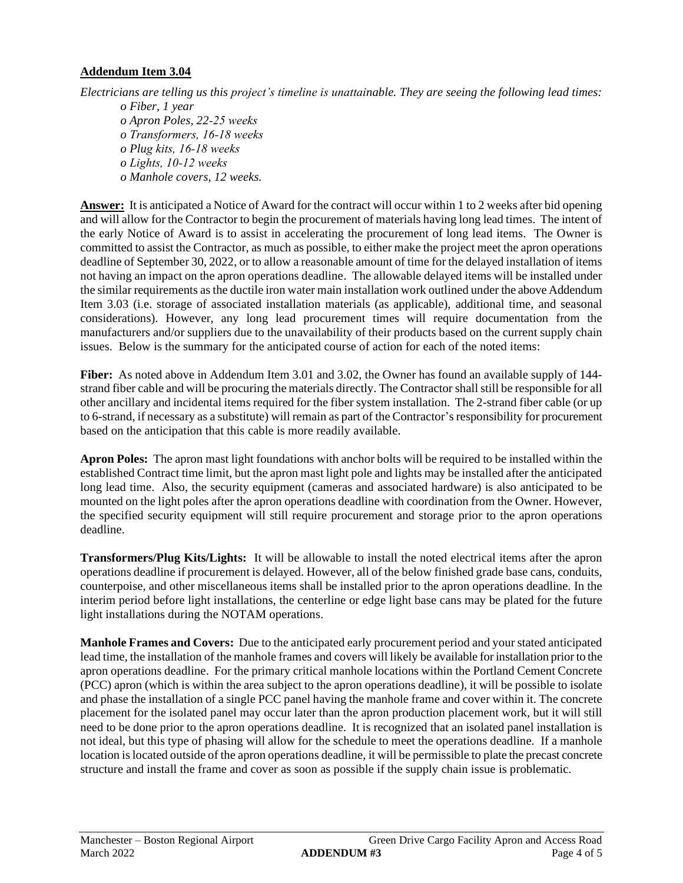#### **Addendum Item 3.04**

*Electricians are telling us this project's timeline is unattainable. They are seeing the following lead times: o Fiber, 1 year o Apron Poles, 22‐25 weeks*

*o Transformers, 16‐18 weeks o Plug kits, 16‐18 weeks o Lights, 10‐12 weeks o Manhole covers, 12 weeks.*

**Answer:** It is anticipated a Notice of Award for the contract will occur within 1 to 2 weeks after bid opening and will allow for the Contractor to begin the procurement of materials having long lead times. The intent of the early Notice of Award is to assist in accelerating the procurement of long lead items. The Owner is committed to assist the Contractor, as much as possible, to either make the project meet the apron operations deadline of September 30, 2022, or to allow a reasonable amount of time for the delayed installation of items not having an impact on the apron operations deadline. The allowable delayed items will be installed under the similar requirements asthe ductile iron water main installation work outlined under the above Addendum Item 3.03 (i.e. storage of associated installation materials (as applicable), additional time, and seasonal considerations). However, any long lead procurement times will require documentation from the manufacturers and/or suppliers due to the unavailability of their products based on the current supply chain issues. Below is the summary for the anticipated course of action for each of the noted items:

**Fiber:** As noted above in Addendum Item 3.01 and 3.02, the Owner has found an available supply of 144 strand fiber cable and will be procuring the materials directly. The Contractor shall still be responsible for all other ancillary and incidental items required for the fiber system installation. The 2-strand fiber cable (or up to 6-strand, if necessary as a substitute) will remain as part of the Contractor's responsibility for procurement based on the anticipation that this cable is more readily available.

**Apron Poles:** The apron mast light foundations with anchor bolts will be required to be installed within the established Contract time limit, but the apron mast light pole and lights may be installed after the anticipated long lead time. Also, the security equipment (cameras and associated hardware) is also anticipated to be mounted on the light poles after the apron operations deadline with coordination from the Owner. However, the specified security equipment will still require procurement and storage prior to the apron operations deadline.

**Transformers/Plug Kits/Lights:** It will be allowable to install the noted electrical items after the apron operations deadline if procurement is delayed. However, all of the below finished grade base cans, conduits, counterpoise, and other miscellaneous items shall be installed prior to the apron operations deadline. In the interim period before light installations, the centerline or edge light base cans may be plated for the future light installations during the NOTAM operations.

**Manhole Frames and Covers:** Due to the anticipated early procurement period and your stated anticipated lead time, the installation of the manhole frames and covers will likely be available for installation prior to the apron operations deadline. For the primary critical manhole locations within the Portland Cement Concrete (PCC) apron (which is within the area subject to the apron operations deadline), it will be possible to isolate and phase the installation of a single PCC panel having the manhole frame and cover within it. The concrete placement for the isolated panel may occur later than the apron production placement work, but it will still need to be done prior to the apron operations deadline. It is recognized that an isolated panel installation is not ideal, but this type of phasing will allow for the schedule to meet the operations deadline. If a manhole location is located outside of the apron operations deadline, it will be permissible to plate the precast concrete structure and install the frame and cover as soon as possible if the supply chain issue is problematic.